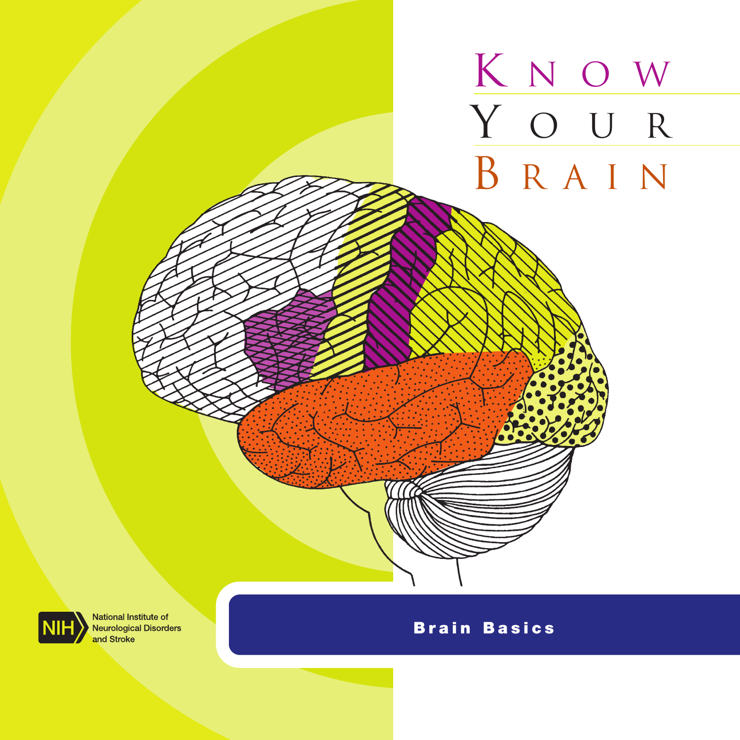



National Institute of **Neurological Disorders** and Stroke

### Brain Basics Brain Basics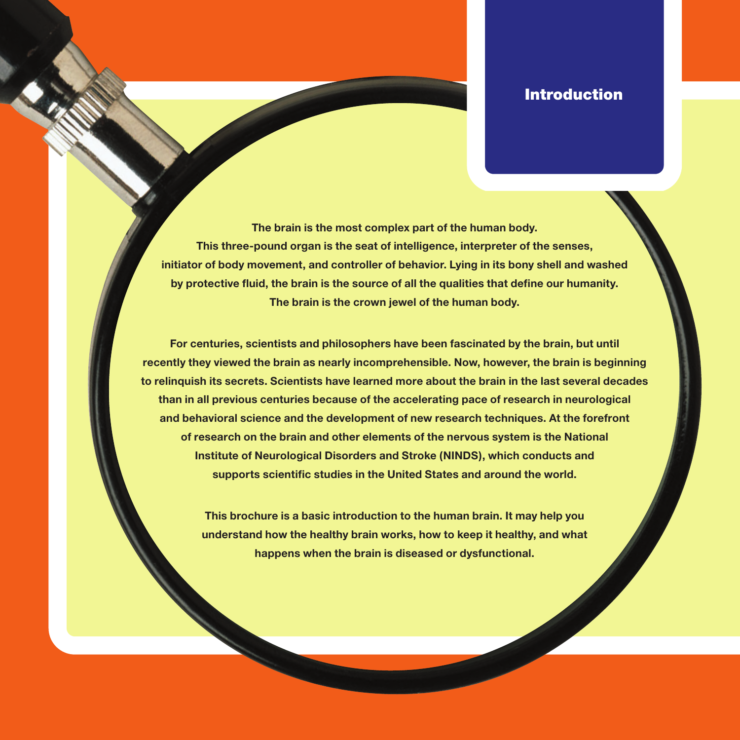#### Introduction

**The brain is the most complex part of the human body. This three-pound organ is the seat of intelligence, interpreter of the senses, initiator of body movement, and controller of behavior. Lying in its bony shell and washed**  by protective fluid, the brain is the source of all the qualities that define our humanity. **The brain is the crown jewel of the human body.** 

**For centuries, scientists and philosophers have been fascinated by the brain, but until recently they viewed the brain as nearly incomprehensible. Now, however, the brain is beginning to relinquish its secrets. Scientists have learned more about the brain in the last several decades than in all previous centuries because of the accelerating pace of research in neurological and behavioral science and the development of new research techniques. At the forefront of research on the brain and other elements of the nervous system is the National Institute of Neurological Disorders and Stroke (NINDS), which conducts and**  supports scientific studies in the United States and around the world.

> **This brochure is a basic introduction to the human brain. It may help you understand how the healthy brain works, how to keep it healthy, and what happens when the brain is diseased or dysfunctional.**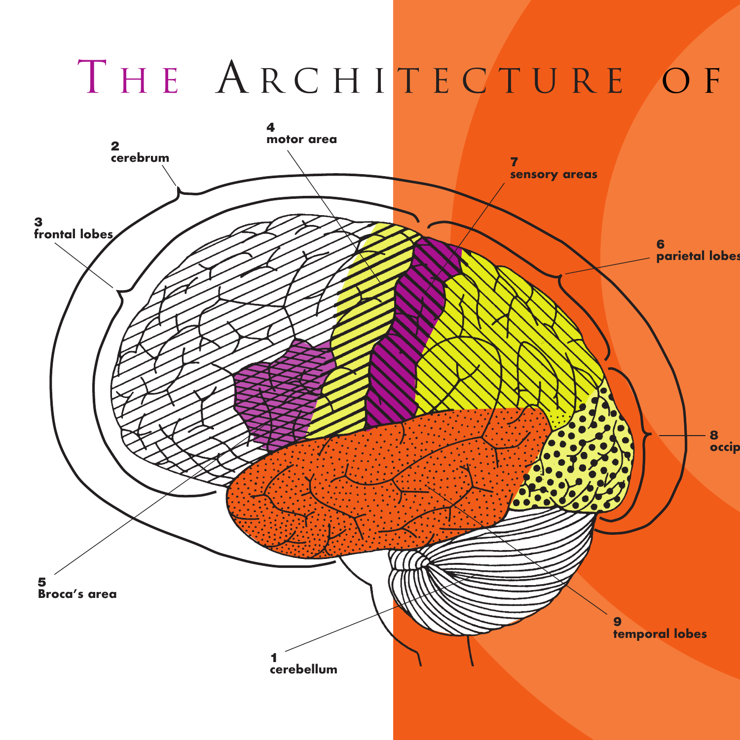# THE ARCHITECTURE OF

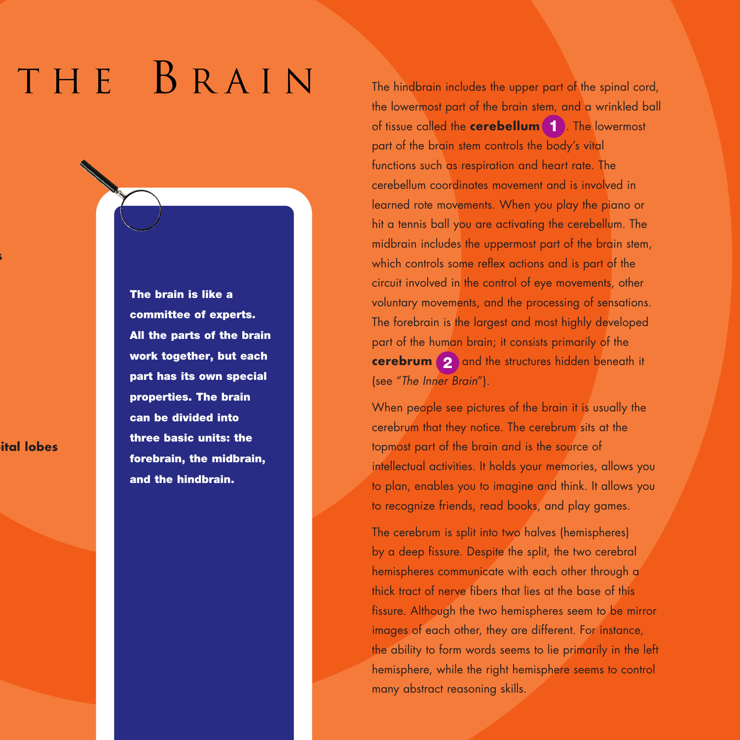# T H E B R A I N

**occipital lobes** 

**parietal lobes** 

The brain is like a committee of experts. All the parts of the brain work together, but each part has its own special properties. The brain can be divided into three basic units: the forebrain, the midbrain, and the hindbrain.

The hindbrain includes the upper part of the spinal cord, the lowermost part of the brain stem, and a wrinkled ball of tissue called the **cerebellum** 1 . The lowermost part of the brain stem controls the body's vital functions such as respiration and heart rate. The cerebellum coordinates movement and is involved in learned rote movements. When you play the piano or hit a tennis ball you are activating the cerebellum. The midbrain includes the uppermost part of the brain stem, which controls some reflex actions and is part of the circuit involved in the control of eye movements, other voluntary movements, and the processing of sensations. The forebrain is the largest and most highly developed part of the human brain; it consists primarily of the **cerebrum** <sup>2</sup> and the structures hidden beneath it (see "*The Inner Brain*").

When people see pictures of the brain it is usually the cerebrum that they notice. The cerebrum sits at the topmost part of the brain and is the source of intellectual activities. It holds your memories, allows you to plan, enables you to imagine and think. It allows you to recognize friends, read books, and play games.

The cerebrum is split into two halves (hemispheres) by a deep fissure. Despite the split, the two cerebral hemispheres communicate with each other through a thick tract of nerve fibers that lies at the base of this fissure. Although the two hemispheres seem to be mirror images of each other, they are different. For instance, the ability to form words seems to lie primarily in the left hemisphere, while the right hemisphere seems to control many abstract reasoning skills.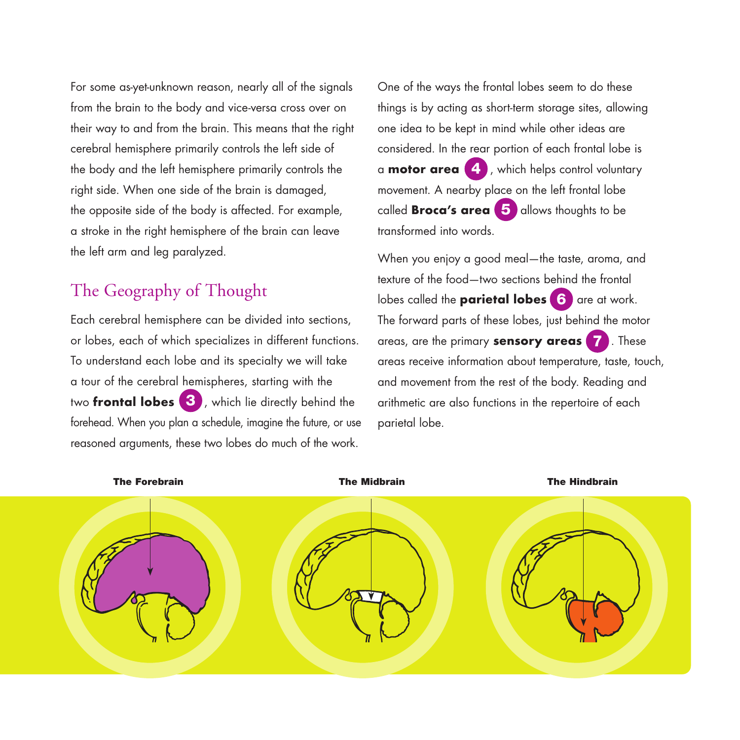For some as-yet-unknown reason, nearly all of the signals from the brain to the body and vice-versa cross over on their way to and from the brain. This means that the right cerebral hemisphere primarily controls the left side of the body and the left hemisphere primarily controls the right side. When one side of the brain is damaged, the opposite side of the body is affected. For example, a stroke in the right hemisphere of the brain can leave the left arm and leg paralyzed.

## The Geography of Thought

 Each cerebral hemisphere can be divided into sections, or lobes, each of which specializes in different functions. To understand each lobe and its specialty we will take a tour of the cerebral hemispheres, starting with the two **frontal lobes** 3 , which lie directly behind the forehead. When you plan a schedule, imagine the future, or use reasoned arguments, these two lobes do much of the work.

 a **motor area** 4 , which helps control voluntary called **Broca's area** 5 allows thoughts to be One of the ways the frontal lobes seem to do these things is by acting as short-term storage sites, allowing one idea to be kept in mind while other ideas are considered. In the rear portion of each frontal lobe is movement. A nearby place on the left frontal lobe transformed into words.

lobes called the **parietal lobes** 6 are at work.  areas, are the primary **sensory areas** 7 . These When you enjoy a good meal—the taste, aroma, and texture of the food—two sections behind the frontal The forward parts of these lobes, just behind the motor areas receive information about temperature, taste, touch, and movement from the rest of the body. Reading and arithmetic are also functions in the repertoire of each parietal lobe.

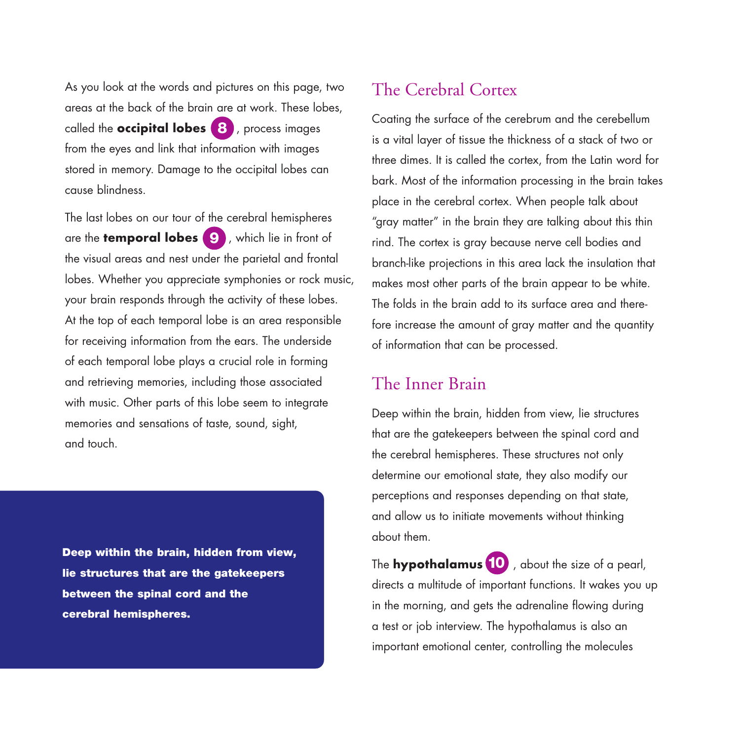called the **occipital lobes** 8 , process images As you look at the words and pictures on this page, two areas at the back of the brain are at work. These lobes, from the eyes and link that information with images stored in memory. Damage to the occipital lobes can cause blindness.

The last lobes on our tour of the cerebral hemispheres are the **temporal lobes** 9 , which lie in front of the visual areas and nest under the parietal and frontal lobes. Whether you appreciate symphonies or rock music, your brain responds through the activity of these lobes. At the top of each temporal lobe is an area responsible for receiving information from the ears. The underside of each temporal lobe plays a crucial role in forming and retrieving memories, including those associated with music. Other parts of this lobe seem to integrate memories and sensations of taste, sound, sight, and touch.

Deep within the brain, hidden from view, lie structures that are the gatekeepers between the spinal cord and the cerebral hemispheres.

## The Cerebral Cortex

Coating the surface of the cerebrum and the cerebellum is a vital layer of tissue the thickness of a stack of two or three dimes. It is called the cortex, from the Latin word for bark. Most of the information processing in the brain takes place in the cerebral cortex. When people talk about "gray matter" in the brain they are talking about this thin rind. The cortex is gray because nerve cell bodies and branch-like projections in this area lack the insulation that makes most other parts of the brain appear to be white. The folds in the brain add to its surface area and therefore increase the amount of gray matter and the quantity of information that can be processed.

#### The Inner Brain

Deep within the brain, hidden from view, lie structures that are the gatekeepers between the spinal cord and the cerebral hemispheres. These structures not only determine our emotional state, they also modify our perceptions and responses depending on that state, and allow us to initiate movements without thinking about them.

 The **hypothalamus** 10 , about the size of a pearl, directs a multitude of important functions. It wakes you up in the morning, and gets the adrenaline flowing during a test or job interview. The hypothalamus is also an important emotional center, controlling the molecules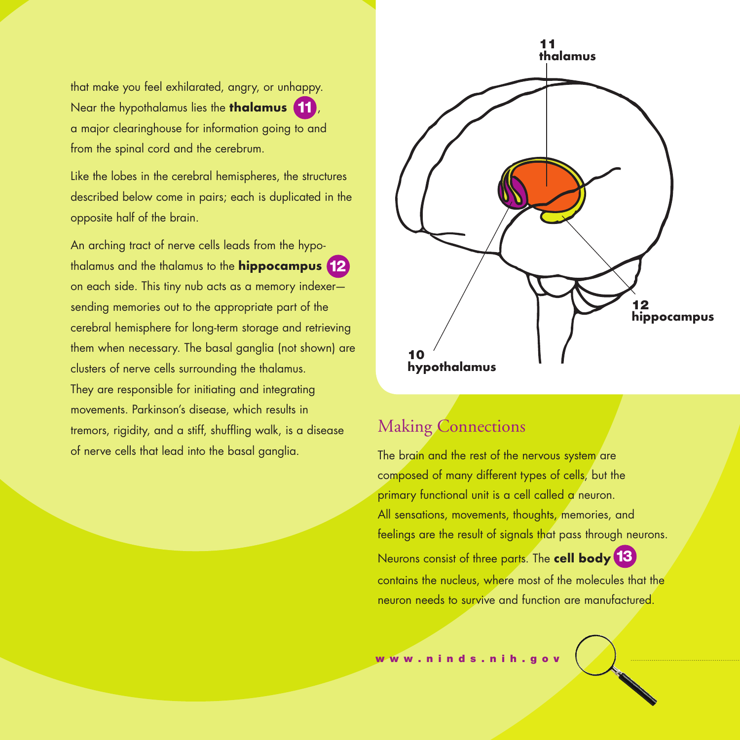that make you feel exhilarated, angry, or unhappy. Near the hypothalamus lies the **thalamus** 11 , a major clearinghouse for information going to and from the spinal cord and the cerebrum.

Like the lobes in the cerebral hemispheres, the structures described below come in pairs; each is duplicated in the opposite half of the brain.

An arching tract of nerve cells leads from the hypothalamus and the thalamus to the **hippocampus** 12 on each side. This tiny nub acts as a memory indexer sending memories out to the appropriate part of the cerebral hemisphere for long-term storage and retrieving them when necessary. The basal ganglia (not shown) are clusters of nerve cells surrounding the thalamus. They are responsible for initiating and integrating movements. Parkinson's disease, which results in tremors, rigidity, and a stiff, shuffling walk, is a disease of nerve cells that lead into the basal ganglia.



#### Making Connections

The brain and the rest of the nervous system are composed of many different types of cells, but the primary functional unit is a cell called a neuron. All sensations, movements, thoughts, memories, and feelings are the result of signals that pass through neurons. Neurons consist of three parts. The **cell body** 13 contains the nucleus, where most of the molecules that the neuron needs to survive and function are manufactured.

www.ninds.nih.a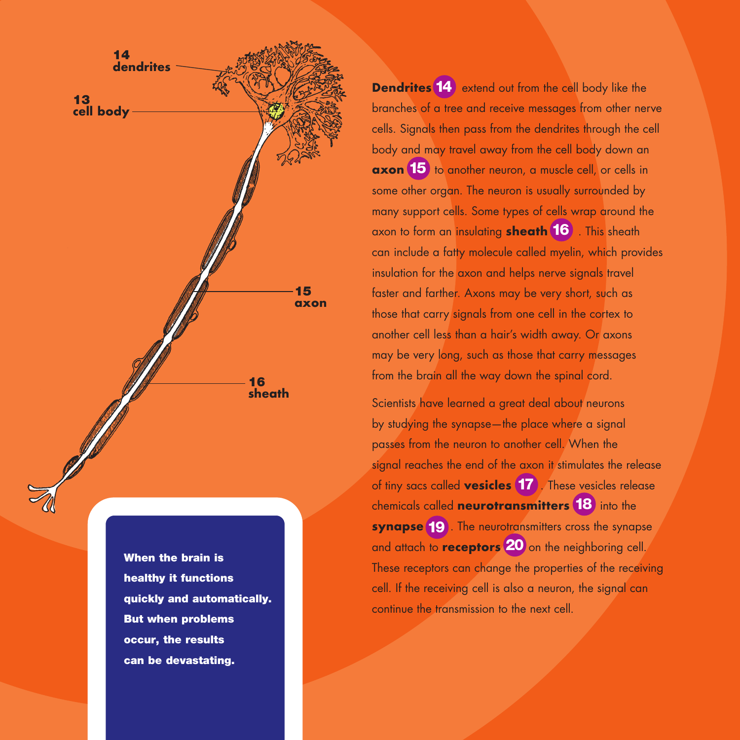

When the brain is healthy it functions quickly and automatically. But when problems occur, the results can be devastating.

**Dendrites <sup>14</sup>** extend out from the cell body like the branches of a tree and receive messages from other nerve cells. Signals then pass from the dendrites through the cell body and may travel away from the cell body down an **axon 15** to another neuron, a muscle cell, or cells in some other organ. The neuron is usually surrounded by many support cells. Some types of cells wrap around the axon to form an insulating **sheath** 16 . This sheath can include a fatty molecule called myelin, which provides insulation for the axon and helps nerve signals travel faster and farther. Axons may be very short, such as those that carry signals from one cell in the cortex to another cell less than a hair's width away. Or axons may be very long, such as those that carry messages from the brain all the way down the spinal cord.

Scientists have learned a great deal about neurons by studying the synapse—the place where a signal passes from the neuron to another cell. When the signal reaches the end of the axon it stimulates the release of tiny sacs called **vesicles** 17. These vesicles release chemicals called **neurotransmitters 18** into the **synapse 19**. The neurotransmitters cross the synapse and attach to **receptors** 20 on the neighboring cell. These receptors can change the properties of the receiving cell. If the receiving cell is also a neuron, the signal can continue the transmission to the next cell.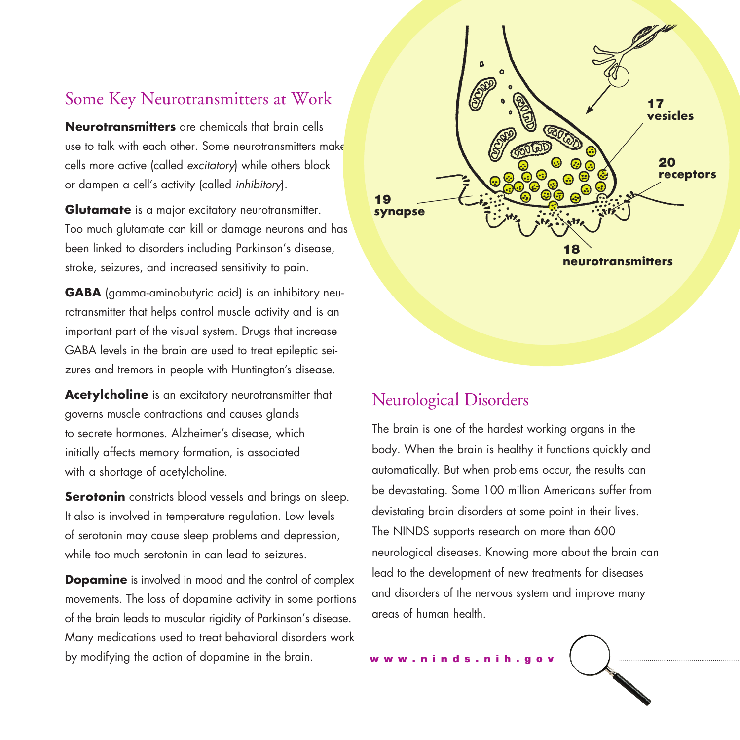### Some Key Neurotransmitters at Work

**Neurotransmitters** are chemicals that brain cells use to talk with each other. Some neurotransmitters make cells more active (called *excitatory*) while others block or dampen a cell's activity (called *inhibitory*).

**Glutamate** is a major excitatory neurotransmitter. Too much glutamate can kill or damage neurons and has been linked to disorders including Parkinson's disease, stroke, seizures, and increased sensitivity to pain.

**GABA** (gamma-aminobutyric acid) is an inhibitory neurotransmitter that helps control muscle activity and is an important part of the visual system. Drugs that increase GABA levels in the brain are used to treat epileptic seizures and tremors in people with Huntington's disease.

**Acetylcholine** is an excitatory neurotransmitter that governs muscle contractions and causes glands to secrete hormones. Alzheimer's disease, which initially affects memory formation, is associated with a shortage of acetylcholine.

**Serotonin** constricts blood vessels and brings on sleep. It also is involved in temperature regulation. Low levels of serotonin may cause sleep problems and depression, while too much serotonin in can lead to seizures.

**Dopamine** is involved in mood and the control of complex movements. The loss of dopamine activity in some portions of the brain leads to muscular rigidity of Parkinson's disease. Many medications used to treat behavioral disorders work by modifying the action of dopamine in the brain.



### Neurological Disorders

The brain is one of the hardest working organs in the body. When the brain is healthy it functions quickly and automatically. But when problems occur, the results can be devastating. Some 100 million Americans suffer from devistating brain disorders at some point in their lives. The NINDS supports research on more than 600 neurological diseases. Knowing more about the brain can lead to the development of new treatments for diseases and disorders of the nervous system and improve many areas of human health.

www.ninds.nih.go